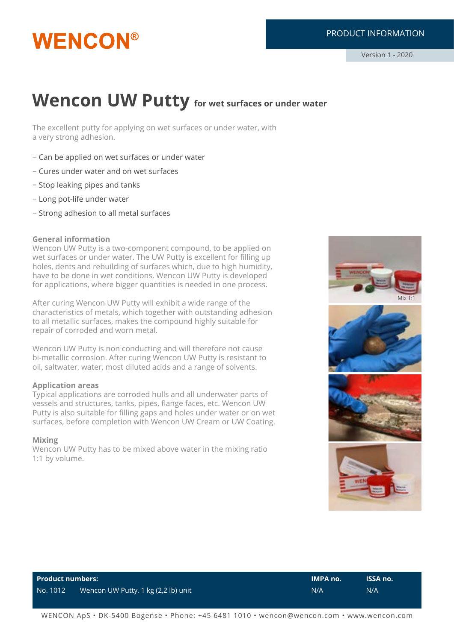# **WENCON®**

# PRODUCT INFORMATION

# **Wencon UW Putty** for wet surfaces or under water

The excellent putty for applying on wet surfaces or under water, with a very strong adhesion.

- − Can be applied on wet surfaces or under water
- − Cures under water and on wet surfaces
- − Stop leaking pipes and tanks
- − Long pot-life under water
- − Strong adhesion to all metal surfaces

#### **General information**

Wencon UW Putty is a two-component compound, to be applied on wet surfaces or under water. The UW Putty is excellent for filling up holes, dents and rebuilding of surfaces which, due to high humidity, have to be done in wet conditions. Wencon UW Putty is developed for applications, where bigger quantities is needed in one process.

After curing Wencon UW Putty will exhibit a wide range of the characteristics of metals, which together with outstanding adhesion to all metallic surfaces, makes the compound highly suitable for repair of corroded and worn metal.

Wencon UW Putty is non conducting and will therefore not cause bi-metallic corrosion. After curing Wencon UW Putty is resistant to oil, saltwater, water, most diluted acids and a range of solvents.

#### **Application areas**

Typical applications are corroded hulls and all underwater parts of vessels and structures, tanks, pipes, flange faces, etc. Wencon UW Putty is also suitable for filling gaps and holes under water or on wet surfaces, before completion with Wencon UW Cream or UW Coating.

#### **Mixing**

Wencon UW Putty has to be mixed above water in the mixing ratio 1:1 by volume.



| <b>Product numbers:</b> |                                     | $\blacksquare$ IMPA no. | <b>ISSA no.</b> |
|-------------------------|-------------------------------------|-------------------------|-----------------|
| No. 1012                | Wencon UW Putty, 1 kg (2,2 lb) unit | N/A                     | N/A             |